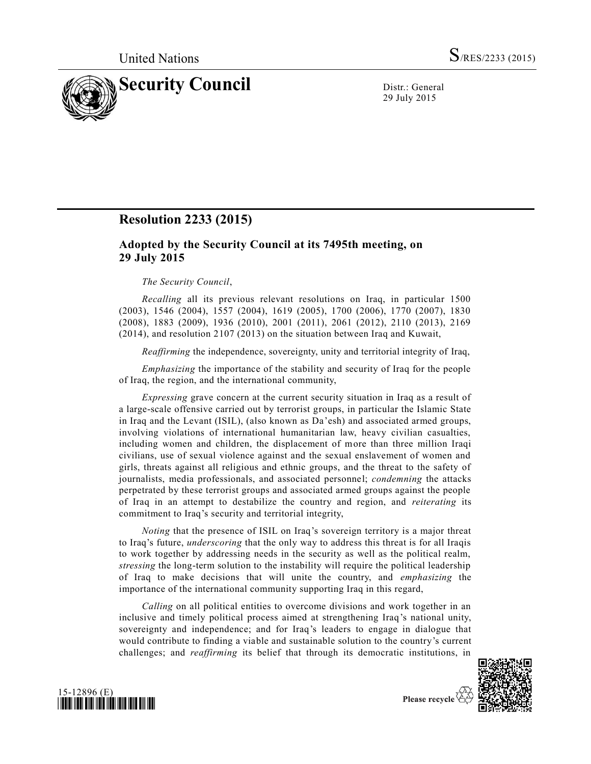

29 July 2015

## **Resolution 2233 (2015)**

## **Adopted by the Security Council at its 7495th meeting, on 29 July 2015**

## *The Security Council*,

*Recalling* all its previous relevant resolutions on Iraq, in particular 1500 (2003), 1546 (2004), 1557 (2004), 1619 (2005), 1700 (2006), 1770 (2007), 1830 (2008), 1883 (2009), 1936 (2010), 2001 (2011), 2061 (2012), 2110 (2013), 2169 (2014), and resolution 2107 (2013) on the situation between Iraq and Kuwait,

*Reaffirming* the independence, sovereignty, unity and territorial integrity of Iraq,

*Emphasizing* the importance of the stability and security of Iraq for the people of Iraq, the region, and the international community,

*Expressing* grave concern at the current security situation in Iraq as a result of a large-scale offensive carried out by terrorist groups, in particular the Islamic State in Iraq and the Levant (ISIL), (also known as Da'esh) and associated armed groups, involving violations of international humanitarian law, heavy civilian casualties, including women and children, the displacement of more than three million Iraqi civilians, use of sexual violence against and the sexual enslavement of women and girls, threats against all religious and ethnic groups, and the threat to the safety of journalists, media professionals, and associated personnel; *condemning* the attacks perpetrated by these terrorist groups and associated armed groups against the people of Iraq in an attempt to destabilize the country and region, and *reiterating* its commitment to Iraq's security and territorial integrity,

*Noting* that the presence of ISIL on Iraq's sovereign territory is a major threat to Iraq's future, *underscoring* that the only way to address this threat is for all Iraqis to work together by addressing needs in the security as well as the political realm, *stressing* the long-term solution to the instability will require the political leadership of Iraq to make decisions that will unite the country, and *emphasizing* the importance of the international community supporting Iraq in this regard,

*Calling* on all political entities to overcome divisions and work together in an inclusive and timely political process aimed at strengthening Iraq's national unity, sovereignty and independence; and for Iraq's leaders to engage in dialogue that would contribute to finding a viable and sustainable solution to the country's current challenges; and *reaffirming* its belief that through its democratic institutions, in





Please recycle Y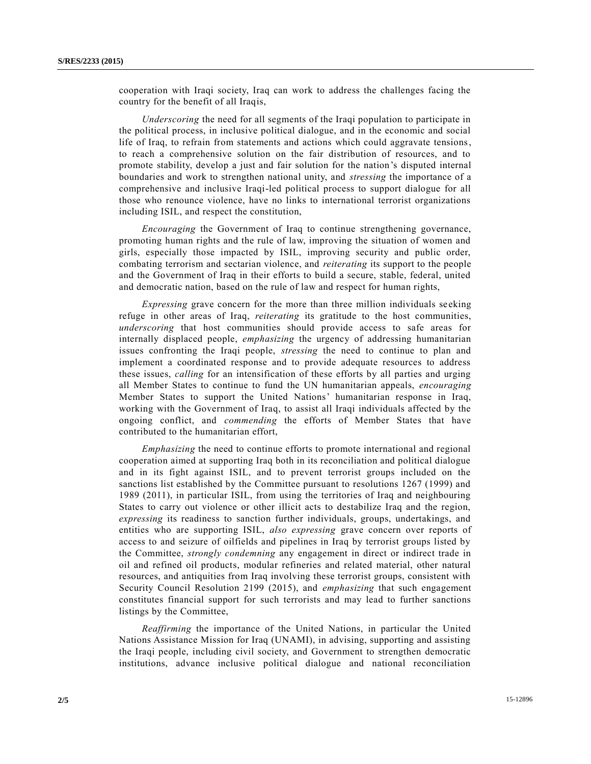cooperation with Iraqi society, Iraq can work to address the challenges facing the country for the benefit of all Iraqis,

*Underscoring* the need for all segments of the Iraqi population to participate in the political process, in inclusive political dialogue, and in the economic and social life of Iraq, to refrain from statements and actions which could aggravate tensions, to reach a comprehensive solution on the fair distribution of resources, and to promote stability, develop a just and fair solution for the nation's disputed internal boundaries and work to strengthen national unity, and *stressing* the importance of a comprehensive and inclusive Iraqi-led political process to support dialogue for all those who renounce violence, have no links to international terrorist organizations including ISIL, and respect the constitution,

*Encouraging* the Government of Iraq to continue strengthening governance, promoting human rights and the rule of law, improving the situation of women and girls, especially those impacted by ISIL, improving security and public order, combating terrorism and sectarian violence, and *reiterating* its support to the people and the Government of Iraq in their efforts to build a secure, stable, federal, united and democratic nation, based on the rule of law and respect for human rights,

*Expressing* grave concern for the more than three million individuals seeking refuge in other areas of Iraq, *reiterating* its gratitude to the host communities, *underscoring* that host communities should provide access to safe areas for internally displaced people, *emphasizing* the urgency of addressing humanitarian issues confronting the Iraqi people, *stressing* the need to continue to plan and implement a coordinated response and to provide adequate resources to address these issues, *calling* for an intensification of these efforts by all parties and urging all Member States to continue to fund the UN humanitarian appeals, *encouraging*  Member States to support the United Nations' humanitarian response in Iraq, working with the Government of Iraq, to assist all Iraqi individuals affected by the ongoing conflict, and *commending* the efforts of Member States that have contributed to the humanitarian effort,

*Emphasizing* the need to continue efforts to promote international and regional cooperation aimed at supporting Iraq both in its reconciliation and political dialogue and in its fight against ISIL, and to prevent terrorist groups included on the sanctions list established by the Committee pursuant to resolutions 1267 (1999) and 1989 (2011), in particular ISIL, from using the territories of Iraq and neighbouring States to carry out violence or other illicit acts to destabilize Iraq and the region, *expressing* its readiness to sanction further individuals, groups, undertakings, and entities who are supporting ISIL, *also expressing* grave concern over reports of access to and seizure of oilfields and pipelines in Iraq by terrorist groups listed by the Committee, *strongly condemning* any engagement in direct or indirect trade in oil and refined oil products, modular refineries and related material, other natural resources, and antiquities from Iraq involving these terrorist groups, consistent with Security Council Resolution 2199 (2015), and *emphasizing* that such engagement constitutes financial support for such terrorists and may lead to further sanctions listings by the Committee,

*Reaffirming* the importance of the United Nations, in particular the United Nations Assistance Mission for Iraq (UNAMI), in advising, supporting and assisting the Iraqi people, including civil society, and Government to strengthen democratic institutions, advance inclusive political dialogue and national reconciliation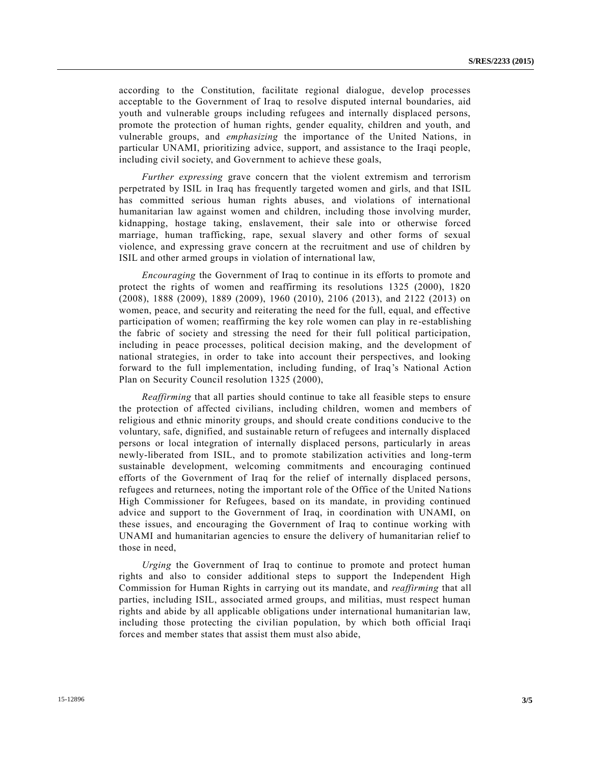according to the Constitution, facilitate regional dialogue, develop processes acceptable to the Government of Iraq to resolve disputed internal boundaries, aid youth and vulnerable groups including refugees and internally displaced persons, promote the protection of human rights, gender equality, children and youth, and vulnerable groups, and *emphasizing* the importance of the United Nations, in particular UNAMI, prioritizing advice, support, and assistance to the Iraqi people, including civil society, and Government to achieve these goals,

*Further expressing* grave concern that the violent extremism and terrorism perpetrated by ISIL in Iraq has frequently targeted women and girls, and that ISIL has committed serious human rights abuses, and violations of international humanitarian law against women and children, including those involving murder, kidnapping, hostage taking, enslavement, their sale into or otherwise forced marriage, human trafficking, rape, sexual slavery and other forms of sexual violence, and expressing grave concern at the recruitment and use of children by ISIL and other armed groups in violation of international law,

*Encouraging* the Government of Iraq to continue in its efforts to promote and protect the rights of women and reaffirming its resolutions 1325 (2000), 1820 (2008), 1888 (2009), 1889 (2009), 1960 (2010), 2106 (2013), and 2122 (2013) on women, peace, and security and reiterating the need for the full, equal, and effective participation of women; reaffirming the key role women can play in re -establishing the fabric of society and stressing the need for their full political participation, including in peace processes, political decision making, and the development of national strategies, in order to take into account their perspectives, and looking forward to the full implementation, including funding, of Iraq's National Action Plan on Security Council resolution 1325 (2000),

*Reaffirming* that all parties should continue to take all feasible steps to ensure the protection of affected civilians, including children, women and members of religious and ethnic minority groups, and should create conditions conducive to the voluntary, safe, dignified, and sustainable return of refugees and internally displaced persons or local integration of internally displaced persons, particularly in areas newly-liberated from ISIL, and to promote stabilization activities and long-term sustainable development, welcoming commitments and encouraging continued efforts of the Government of Iraq for the relief of internally displaced persons, refugees and returnees, noting the important role of the Office of the United Na tions High Commissioner for Refugees, based on its mandate, in providing continued advice and support to the Government of Iraq, in coordination with UNAMI, on these issues, and encouraging the Government of Iraq to continue working with UNAMI and humanitarian agencies to ensure the delivery of humanitarian relief to those in need,

*Urging* the Government of Iraq to continue to promote and protect human rights and also to consider additional steps to support the Independent High Commission for Human Rights in carrying out its mandate, and *reaffirming* that all parties, including ISIL, associated armed groups, and militias, must respect human rights and abide by all applicable obligations under international humanitarian law, including those protecting the civilian population, by which both official Iraqi forces and member states that assist them must also abide,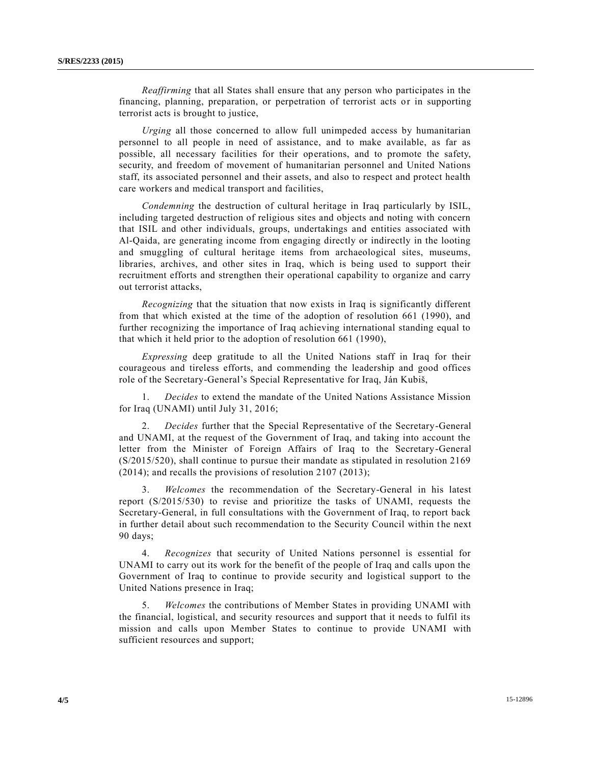*Reaffirming* that all States shall ensure that any person who participates in the financing, planning, preparation, or perpetration of terrorist acts or in supporting terrorist acts is brought to justice,

*Urging* all those concerned to allow full unimpeded access by humanitarian personnel to all people in need of assistance, and to make available, as far as possible, all necessary facilities for their operations, and to promote the safety, security, and freedom of movement of humanitarian personnel and United Nations staff, its associated personnel and their assets, and also to respect and protect health care workers and medical transport and facilities,

*Condemning* the destruction of cultural heritage in Iraq particularly by ISIL, including targeted destruction of religious sites and objects and noting with concern that ISIL and other individuals, groups, undertakings and entities associated with Al-Qaida, are generating income from engaging directly or indirectly in the looting and smuggling of cultural heritage items from archaeological sites, museums, libraries, archives, and other sites in Iraq, which is being used to support their recruitment efforts and strengthen their operational capability to organize and carry out terrorist attacks,

*Recognizing* that the situation that now exists in Iraq is significantly different from that which existed at the time of the adoption of resolution 661 (1990), and further recognizing the importance of Iraq achieving international standing equal to that which it held prior to the adoption of resolution 661 (1990),

*Expressing* deep gratitude to all the United Nations staff in Iraq for their courageous and tireless efforts, and commending the leadership and good offices role of the Secretary-General's Special Representative for Iraq, Ján Kubiš,

1. *Decides* to extend the mandate of the United Nations Assistance Mission for Iraq (UNAMI) until July 31, 2016;

2. *Decides* further that the Special Representative of the Secretary-General and UNAMI, at the request of the Government of Iraq, and taking into account the letter from the Minister of Foreign Affairs of Iraq to the Secretary-General [\(S/2015/520\)](http://undocs.org/S/2015/520), shall continue to pursue their mandate as stipulated in resolution 2169 (2014); and recalls the provisions of resolution 2107 (2013);

3. *Welcomes* the recommendation of the Secretary-General in his latest report [\(S/2015/530\)](http://undocs.org/S/2015/530) to revise and prioritize the tasks of UNAMI, requests the Secretary-General, in full consultations with the Government of Iraq, to report back in further detail about such recommendation to the Security Council within the next 90 days;

4. *Recognizes* that security of United Nations personnel is essential for UNAMI to carry out its work for the benefit of the people of Iraq and calls upon the Government of Iraq to continue to provide security and logistical support to the United Nations presence in Iraq;

5. *Welcomes* the contributions of Member States in providing UNAMI with the financial, logistical, and security resources and support that it needs to fulfil its mission and calls upon Member States to continue to provide UNAMI with sufficient resources and support;